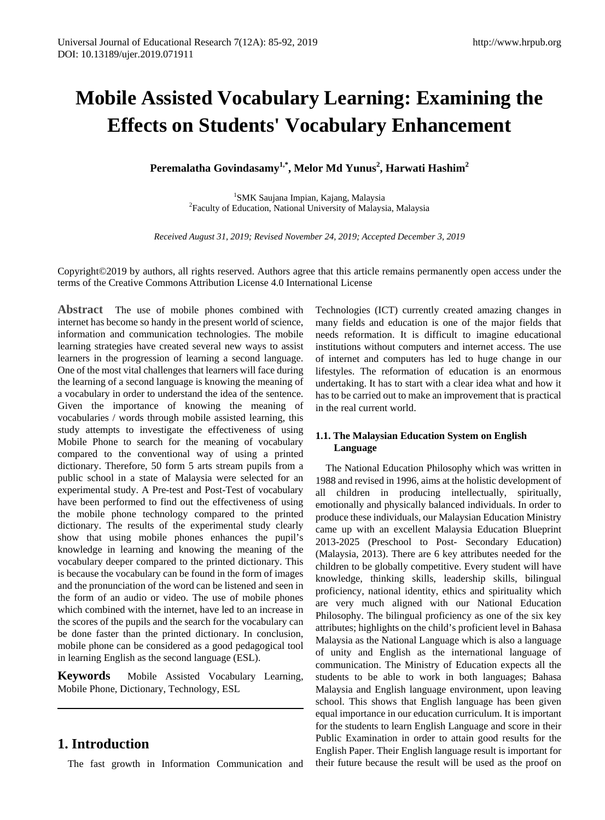# **Mobile Assisted Vocabulary Learning: Examining the Effects on Students' Vocabulary Enhancement**

 $\textbf{Peremalatha Govindasamy}^{1,*}, \textbf{Melor Md Yunus}^{2}, \textbf{Harwati Hashim}^{2}$ 

<sup>1</sup>SMK Saujana Impian, Kajang, Malaysia SMK Saujana Impian, Kajang, Malaysia <sup>2</sup> Faculty of Education, National University of Malaysia, Malaysia

*Received August 31, 2019; Revised November 24, 2019; Accepted December 3, 2019*

Copyright©2019 by authors, all rights reserved. Authors agree that this article remains permanently open access under the terms of the Creative Commons Attribution License 4.0 International License

**Abstract** The use of mobile phones combined with internet has become so handy in the present world of science, information and communication technologies. The mobile learning strategies have created several new ways to assist learners in the progression of learning a second language. One of the most vital challenges that learners will face during the learning of a second language is knowing the meaning of a vocabulary in order to understand the idea of the sentence. Given the importance of knowing the meaning of vocabularies / words through mobile assisted learning, this study attempts to investigate the effectiveness of using Mobile Phone to search for the meaning of vocabulary compared to the conventional way of using a printed dictionary. Therefore, 50 form 5 arts stream pupils from a public school in a state of Malaysia were selected for an experimental study. A Pre-test and Post-Test of vocabulary have been performed to find out the effectiveness of using the mobile phone technology compared to the printed dictionary. The results of the experimental study clearly show that using mobile phones enhances the pupil's knowledge in learning and knowing the meaning of the vocabulary deeper compared to the printed dictionary. This is because the vocabulary can be found in the form of images and the pronunciation of the word can be listened and seen in the form of an audio or video. The use of mobile phones which combined with the internet, have led to an increase in the scores of the pupils and the search for the vocabulary can be done faster than the printed dictionary. In conclusion, mobile phone can be considered as a good pedagogical tool in learning English as the second language (ESL).

**Keywords** Mobile Assisted Vocabulary Learning, Mobile Phone, Dictionary, Technology, ESL

# **1. Introduction**

The fast growth in Information Communication and

Technologies (ICT) currently created amazing changes in many fields and education is one of the major fields that needs reformation. It is difficult to imagine educational institutions without computers and internet access. The use of internet and computers has led to huge change in our lifestyles. The reformation of education is an enormous undertaking. It has to start with a clear idea what and how it has to be carried out to make an improvement that is practical in the real current world.

## **1.1. The Malaysian Education System on English Language**

The National Education Philosophy which was written in 1988 and revised in 1996, aims at the holistic development of all children in producing intellectually, spiritually, emotionally and physically balanced individuals. In order to produce these individuals, our Malaysian Education Ministry came up with an excellent Malaysia Education Blueprint 2013-2025 (Preschool to Post- Secondary Education) (Malaysia, 2013). There are 6 key attributes needed for the children to be globally competitive. Every student will have knowledge, thinking skills, leadership skills, bilingual proficiency, national identity, ethics and spirituality which are very much aligned with our National Education Philosophy. The bilingual proficiency as one of the six key attributes; highlights on the child's proficient level in Bahasa Malaysia as the National Language which is also a language of unity and English as the international language of communication. The Ministry of Education expects all the students to be able to work in both languages; Bahasa Malaysia and English language environment, upon leaving school. This shows that English language has been given equal importance in our education curriculum. It is important for the students to learn English Language and score in their Public Examination in order to attain good results for the English Paper. Their English language result is important for their future because the result will be used as the proof on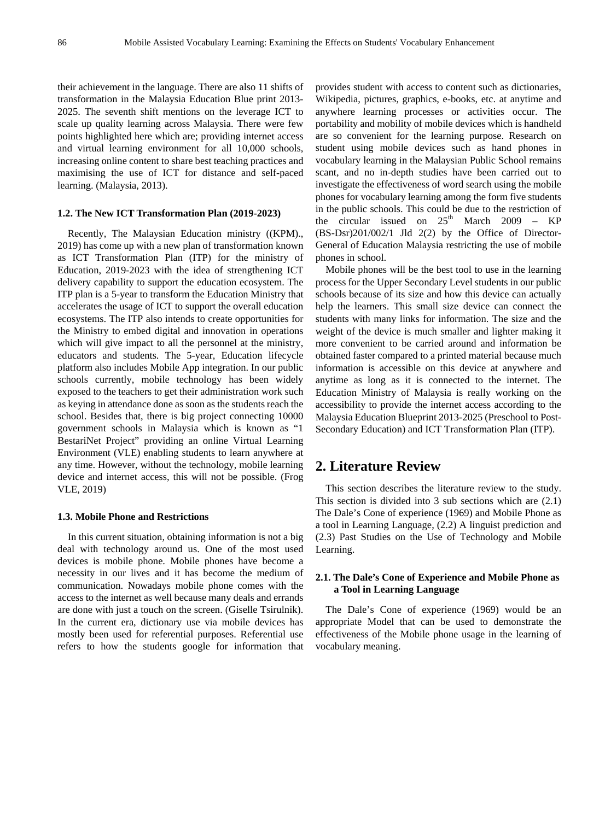their achievement in the language. There are also 11 shifts of transformation in the Malaysia Education Blue print 2013- 2025. The seventh shift mentions on the leverage ICT to scale up quality learning across Malaysia. There were few points highlighted here which are; providing internet access and virtual learning environment for all 10,000 schools, increasing online content to share best teaching practices and maximising the use of ICT for distance and self-paced learning. (Malaysia, 2013).

#### **1.2. The New ICT Transformation Plan (2019-2023)**

Recently, The Malaysian Education ministry ((KPM)., 2019) has come up with a new plan of transformation known as ICT Transformation Plan (ITP) for the ministry of Education, 2019-2023 with the idea of strengthening ICT delivery capability to support the education ecosystem. The ITP plan is a 5-year to transform the Education Ministry that accelerates the usage of ICT to support the overall education ecosystems. The ITP also intends to create opportunities for the Ministry to embed digital and innovation in operations which will give impact to all the personnel at the ministry, educators and students. The 5-year, Education lifecycle platform also includes Mobile App integration. In our public schools currently, mobile technology has been widely exposed to the teachers to get their administration work such as keying in attendance done as soon as the students reach the school. Besides that, there is big project connecting 10000 government schools in Malaysia which is known as "1 BestariNet Project" providing an online Virtual Learning Environment (VLE) enabling students to learn anywhere at any time. However, without the technology, mobile learning device and internet access, this will not be possible. (Frog VLE, 2019)

### **1.3. Mobile Phone and Restrictions**

In this current situation, obtaining information is not a big deal with technology around us. One of the most used devices is mobile phone. Mobile phones have become a necessity in our lives and it has become the medium of communication. Nowadays mobile phone comes with the access to the internet as well because many deals and errands are done with just a touch on the screen. (Giselle Tsirulnik). In the current era, dictionary use via mobile devices has mostly been used for referential purposes. Referential use refers to how the students google for information that

provides student with access to content such as dictionaries, Wikipedia, pictures, graphics, e-books, etc. at anytime and anywhere learning processes or activities occur. The portability and mobility of mobile devices which is handheld are so convenient for the learning purpose. Research on student using mobile devices such as hand phones in vocabulary learning in the Malaysian Public School remains scant, and no in-depth studies have been carried out to investigate the effectiveness of word search using the mobile phones for vocabulary learning among the form five students in the public schools. This could be due to the restriction of the circular issued on  $25<sup>th</sup>$  March 2009 – KP (BS-Dsr)201/002/1 Jld 2(2) by the Office of Director-General of Education Malaysia restricting the use of mobile phones in school.

Mobile phones will be the best tool to use in the learning process for the Upper Secondary Level students in our public schools because of its size and how this device can actually help the learners. This small size device can connect the students with many links for information. The size and the weight of the device is much smaller and lighter making it more convenient to be carried around and information be obtained faster compared to a printed material because much information is accessible on this device at anywhere and anytime as long as it is connected to the internet. The Education Ministry of Malaysia is really working on the accessibility to provide the internet access according to the Malaysia Education Blueprint 2013-2025 (Preschool to Post-Secondary Education) and ICT Transformation Plan (ITP).

# **2. Literature Review**

This section describes the literature review to the study. This section is divided into 3 sub sections which are (2.1) The Dale's Cone of experience (1969) and Mobile Phone as a tool in Learning Language, (2.2) A linguist prediction and (2.3) Past Studies on the Use of Technology and Mobile Learning.

## **2.1. The Dale's Cone of Experience and Mobile Phone as a Tool in Learning Language**

The Dale's Cone of experience (1969) would be an appropriate Model that can be used to demonstrate the effectiveness of the Mobile phone usage in the learning of vocabulary meaning.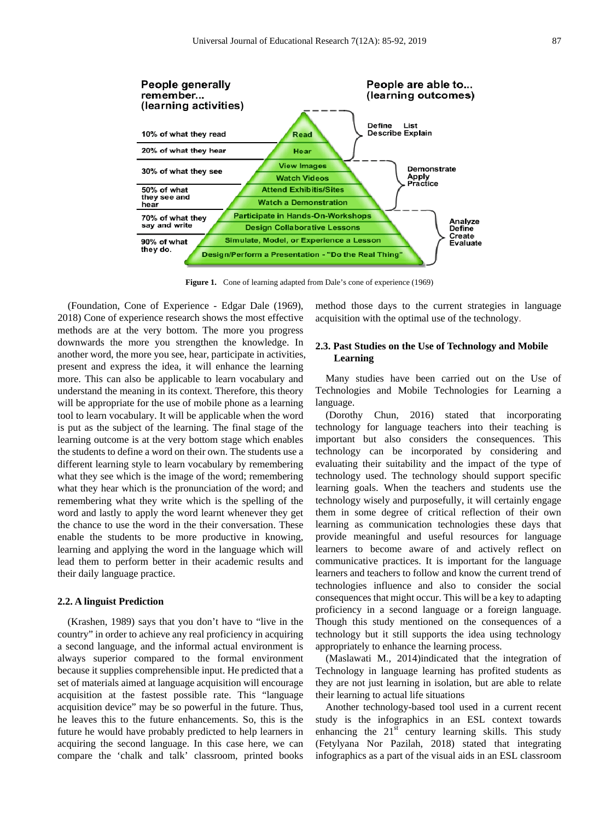

**Figure 1.** Cone of learning adapted from Dale's cone of experience (1969)

(Foundation, Cone of Experience - Edgar Dale (1969), 2018) Cone of experience research shows the most effective methods are at the very bottom. The more you progress downwards the more you strengthen the knowledge. In another word, the more you see, hear, participate in activities, present and express the idea, it will enhance the learning more. This can also be applicable to learn vocabulary and understand the meaning in its context. Therefore, this theory will be appropriate for the use of mobile phone as a learning tool to learn vocabulary. It will be applicable when the word is put as the subject of the learning. The final stage of the learning outcome is at the very bottom stage which enables the students to define a word on their own. The students use a different learning style to learn vocabulary by remembering what they see which is the image of the word; remembering what they hear which is the pronunciation of the word; and remembering what they write which is the spelling of the word and lastly to apply the word learnt whenever they get the chance to use the word in the their conversation. These enable the students to be more productive in knowing, learning and applying the word in the language which will lead them to perform better in their academic results and their daily language practice.

### **2.2. A linguist Prediction**

(Krashen, 1989) says that you don't have to "live in the country" in order to achieve any real proficiency in acquiring a second language, and the informal actual environment is always superior compared to the formal environment because it supplies comprehensible input. He predicted that a set of materials aimed at language acquisition will encourage acquisition at the fastest possible rate. This "language acquisition device" may be so powerful in the future. Thus, he leaves this to the future enhancements. So, this is the future he would have probably predicted to help learners in acquiring the second language. In this case here, we can compare the 'chalk and talk' classroom, printed books method those days to the current strategies in language acquisition with the optimal use of the technology.

## **2.3. Past Studies on the Use of Technology and Mobile Learning**

Many studies have been carried out on the Use of Technologies and Mobile Technologies for Learning a language.

(Dorothy Chun, 2016) stated that incorporating technology for language teachers into their teaching is important but also considers the consequences. This technology can be incorporated by considering and evaluating their suitability and the impact of the type of technology used. The technology should support specific learning goals. When the teachers and students use the technology wisely and purposefully, it will certainly engage them in some degree of critical reflection of their own learning as communication technologies these days that provide meaningful and useful resources for language learners to become aware of and actively reflect on communicative practices. It is important for the language learners and teachers to follow and know the current trend of technologies influence and also to consider the social consequences that might occur. This will be a key to adapting proficiency in a second language or a foreign language. Though this study mentioned on the consequences of a technology but it still supports the idea using technology appropriately to enhance the learning process.

(Maslawati M., 2014)indicated that the integration of Technology in language learning has profited students as they are not just learning in isolation, but are able to relate their learning to actual life situations

Another technology-based tool used in a current recent study is the infographics in an ESL context towards enhancing the  $21<sup>st</sup>$  century learning skills. This study (Fetylyana Nor Pazilah, 2018) stated that integrating infographics as a part of the visual aids in an ESL classroom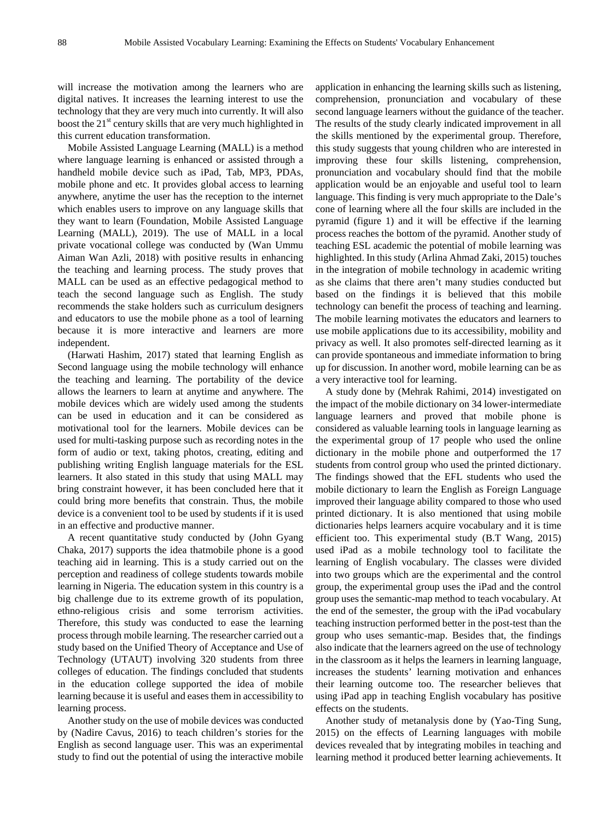will increase the motivation among the learners who are digital natives. It increases the learning interest to use the technology that they are very much into currently. It will also boost the  $21<sup>st</sup>$  century skills that are very much highlighted in this current education transformation.

Mobile Assisted Language Learning (MALL) is a method where language learning is enhanced or assisted through a handheld mobile device such as iPad, Tab, MP3, PDAs, mobile phone and etc. It provides global access to learning anywhere, anytime the user has the reception to the internet which enables users to improve on any language skills that they want to learn (Foundation, Mobile Assisted Language Learning (MALL), 2019). The use of MALL in a local private vocational college was conducted by (Wan Ummu Aiman Wan Azli, 2018) with positive results in enhancing the teaching and learning process. The study proves that MALL can be used as an effective pedagogical method to teach the second language such as English. The study recommends the stake holders such as curriculum designers and educators to use the mobile phone as a tool of learning because it is more interactive and learners are more independent.

(Harwati Hashim, 2017) stated that learning English as Second language using the mobile technology will enhance the teaching and learning. The portability of the device allows the learners to learn at anytime and anywhere. The mobile devices which are widely used among the students can be used in education and it can be considered as motivational tool for the learners. Mobile devices can be used for multi-tasking purpose such as recording notes in the form of audio or text, taking photos, creating, editing and publishing writing English language materials for the ESL learners. It also stated in this study that using MALL may bring constraint however, it has been concluded here that it could bring more benefits that constrain. Thus, the mobile device is a convenient tool to be used by students if it is used in an effective and productive manner.

A recent quantitative study conducted by (John Gyang Chaka, 2017) supports the idea thatmobile phone is a good teaching aid in learning. This is a study carried out on the perception and readiness of college students towards mobile learning in Nigeria. The education system in this country is a big challenge due to its extreme growth of its population, ethno-religious crisis and some terrorism activities. Therefore, this study was conducted to ease the learning process through mobile learning. The researcher carried out a study based on the Unified Theory of Acceptance and Use of Technology (UTAUT) involving 320 students from three colleges of education. The findings concluded that students in the education college supported the idea of mobile learning because it is useful and eases them in accessibility to learning process.

Another study on the use of mobile devices was conducted by (Nadire Cavus, 2016) to teach children's stories for the English as second language user. This was an experimental study to find out the potential of using the interactive mobile

application in enhancing the learning skills such as listening, comprehension, pronunciation and vocabulary of these second language learners without the guidance of the teacher. The results of the study clearly indicated improvement in all the skills mentioned by the experimental group. Therefore, this study suggests that young children who are interested in improving these four skills listening, comprehension, pronunciation and vocabulary should find that the mobile application would be an enjoyable and useful tool to learn language. This finding is very much appropriate to the Dale's cone of learning where all the four skills are included in the pyramid (figure 1) and it will be effective if the learning process reaches the bottom of the pyramid. Another study of teaching ESL academic the potential of mobile learning was highlighted. In this study (Arlina Ahmad Zaki, 2015) touches in the integration of mobile technology in academic writing as she claims that there aren't many studies conducted but based on the findings it is believed that this mobile technology can benefit the process of teaching and learning. The mobile learning motivates the educators and learners to use mobile applications due to its accessibility, mobility and privacy as well. It also promotes self-directed learning as it can provide spontaneous and immediate information to bring up for discussion. In another word, mobile learning can be as a very interactive tool for learning.

A study done by (Mehrak Rahimi, 2014) investigated on the impact of the mobile dictionary on 34 lower-intermediate language learners and proved that mobile phone is considered as valuable learning tools in language learning as the experimental group of 17 people who used the online dictionary in the mobile phone and outperformed the 17 students from control group who used the printed dictionary. The findings showed that the EFL students who used the mobile dictionary to learn the English as Foreign Language improved their language ability compared to those who used printed dictionary. It is also mentioned that using mobile dictionaries helps learners acquire vocabulary and it is time efficient too. This experimental study (B.T Wang, 2015) used iPad as a mobile technology tool to facilitate the learning of English vocabulary. The classes were divided into two groups which are the experimental and the control group, the experimental group uses the iPad and the control group uses the semantic-map method to teach vocabulary. At the end of the semester, the group with the iPad vocabulary teaching instruction performed better in the post-test than the group who uses semantic-map. Besides that, the findings also indicate that the learners agreed on the use of technology in the classroom as it helps the learners in learning language, increases the students' learning motivation and enhances their learning outcome too. The researcher believes that using iPad app in teaching English vocabulary has positive effects on the students.

Another study of metanalysis done by (Yao-Ting Sung, 2015) on the effects of Learning languages with mobile devices revealed that by integrating mobiles in teaching and learning method it produced better learning achievements. It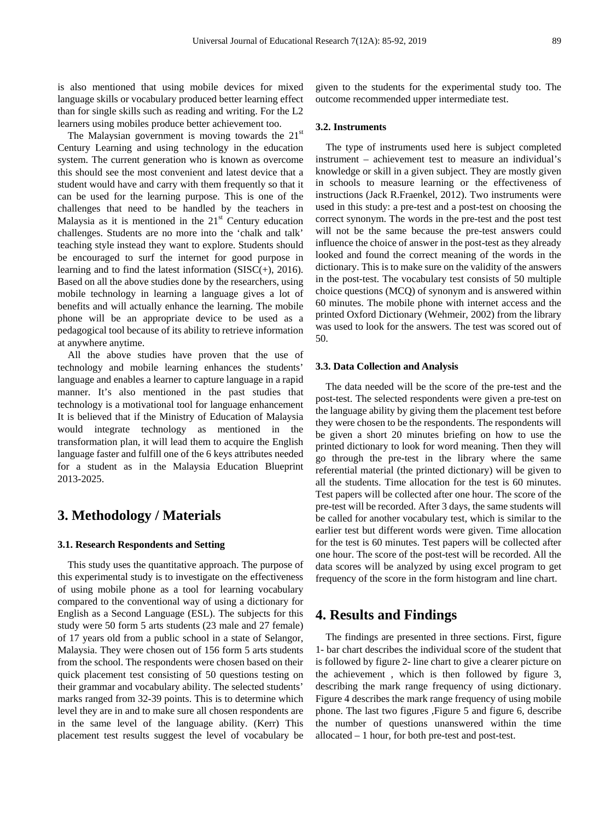is also mentioned that using mobile devices for mixed language skills or vocabulary produced better learning effect than for single skills such as reading and writing. For the L2 learners using mobiles produce better achievement too.

The Malaysian government is moving towards the  $21<sup>st</sup>$ Century Learning and using technology in the education system. The current generation who is known as overcome this should see the most convenient and latest device that a student would have and carry with them frequently so that it can be used for the learning purpose. This is one of the challenges that need to be handled by the teachers in Malaysia as it is mentioned in the  $21<sup>st</sup>$  Century education challenges. Students are no more into the 'chalk and talk' teaching style instead they want to explore. Students should be encouraged to surf the internet for good purpose in learning and to find the latest information  $(SISC(+)$ , 2016). Based on all the above studies done by the researchers, using mobile technology in learning a language gives a lot of benefits and will actually enhance the learning. The mobile phone will be an appropriate device to be used as a pedagogical tool because of its ability to retrieve information at anywhere anytime.

All the above studies have proven that the use of technology and mobile learning enhances the students' language and enables a learner to capture language in a rapid manner. It's also mentioned in the past studies that technology is a motivational tool for language enhancement It is believed that if the Ministry of Education of Malaysia would integrate technology as mentioned in the transformation plan, it will lead them to acquire the English language faster and fulfill one of the 6 keys attributes needed for a student as in the Malaysia Education Blueprint 2013-2025.

# **3. Methodology / Materials**

## **3.1. Research Respondents and Setting**

This study uses the quantitative approach. The purpose of this experimental study is to investigate on the effectiveness of using mobile phone as a tool for learning vocabulary compared to the conventional way of using a dictionary for English as a Second Language (ESL). The subjects for this study were 50 form 5 arts students (23 male and 27 female) of 17 years old from a public school in a state of Selangor, Malaysia. They were chosen out of 156 form 5 arts students from the school. The respondents were chosen based on their quick placement test consisting of 50 questions testing on their grammar and vocabulary ability. The selected students' marks ranged from 32-39 points. This is to determine which level they are in and to make sure all chosen respondents are in the same level of the language ability. (Kerr) This placement test results suggest the level of vocabulary be

given to the students for the experimental study too. The outcome recommended upper intermediate test.

### **3.2. Instruments**

The type of instruments used here is subject completed instrument – achievement test to measure an individual's knowledge or skill in a given subject. They are mostly given in schools to measure learning or the effectiveness of instructions (Jack R.Fraenkel, 2012). Two instruments were used in this study: a pre-test and a post-test on choosing the correct synonym. The words in the pre-test and the post test will not be the same because the pre-test answers could influence the choice of answer in the post-test as they already looked and found the correct meaning of the words in the dictionary. This is to make sure on the validity of the answers in the post-test. The vocabulary test consists of 50 multiple choice questions (MCQ) of synonym and is answered within 60 minutes. The mobile phone with internet access and the printed Oxford Dictionary (Wehmeir, 2002) from the library was used to look for the answers. The test was scored out of 50.

#### **3.3. Data Collection and Analysis**

The data needed will be the score of the pre-test and the post-test. The selected respondents were given a pre-test on the language ability by giving them the placement test before they were chosen to be the respondents. The respondents will be given a short 20 minutes briefing on how to use the printed dictionary to look for word meaning. Then they will go through the pre-test in the library where the same referential material (the printed dictionary) will be given to all the students. Time allocation for the test is 60 minutes. Test papers will be collected after one hour. The score of the pre-test will be recorded. After 3 days, the same students will be called for another vocabulary test, which is similar to the earlier test but different words were given. Time allocation for the test is 60 minutes. Test papers will be collected after one hour. The score of the post-test will be recorded. All the data scores will be analyzed by using excel program to get frequency of the score in the form histogram and line chart.

## **4. Results and Findings**

The findings are presented in three sections. First, figure 1- bar chart describes the individual score of the student that is followed by figure 2- line chart to give a clearer picture on the achievement , which is then followed by figure 3, describing the mark range frequency of using dictionary. Figure 4 describes the mark range frequency of using mobile phone. The last two figures ,Figure 5 and figure 6, describe the number of questions unanswered within the time allocated – 1 hour, for both pre-test and post-test.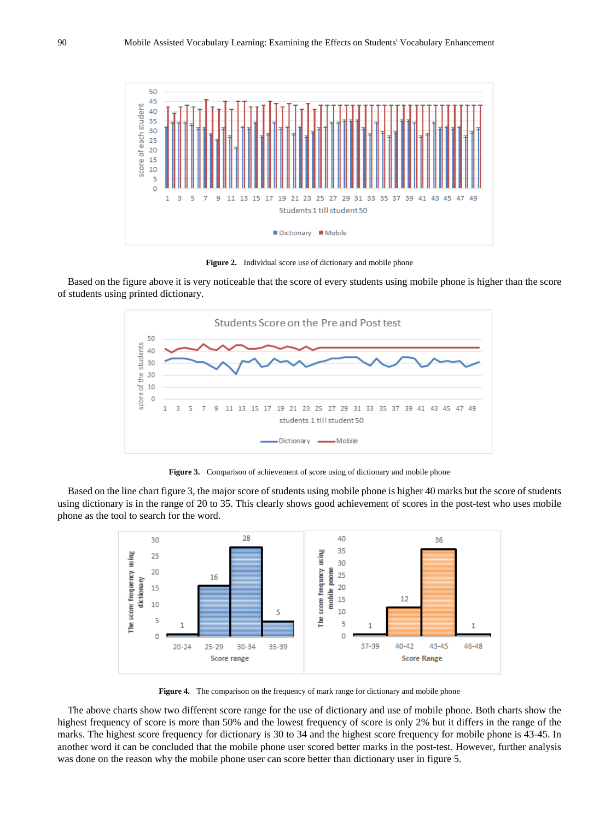

Figure 2. Individual score use of dictionary and mobile phone

Based on the figure above it is very noticeable that the score of every students using mobile phone is higher than the score of students using printed dictionary.



**Figure 3.** Comparison of achievement of score using of dictionary and mobile phone

Based on the line chart figure 3, the major score of students using mobile phone is higher 40 marks but the score of students using dictionary is in the range of 20 to 35. This clearly shows good achievement of scores in the post-test who uses mobile phone as the tool to search for the word.



**Figure 4.** The comparison on the frequency of mark range for dictionary and mobile phone

The above charts show two different score range for the use of dictionary and use of mobile phone. Both charts show the highest frequency of score is more than 50% and the lowest frequency of score is only 2% but it differs in the range of the marks. The highest score frequency for dictionary is 30 to 34 and the highest score frequency for mobile phone is 43-45. In another word it can be concluded that the mobile phone user scored better marks in the post-test. However, further analysis was done on the reason why the mobile phone user can score better than dictionary user in figure 5.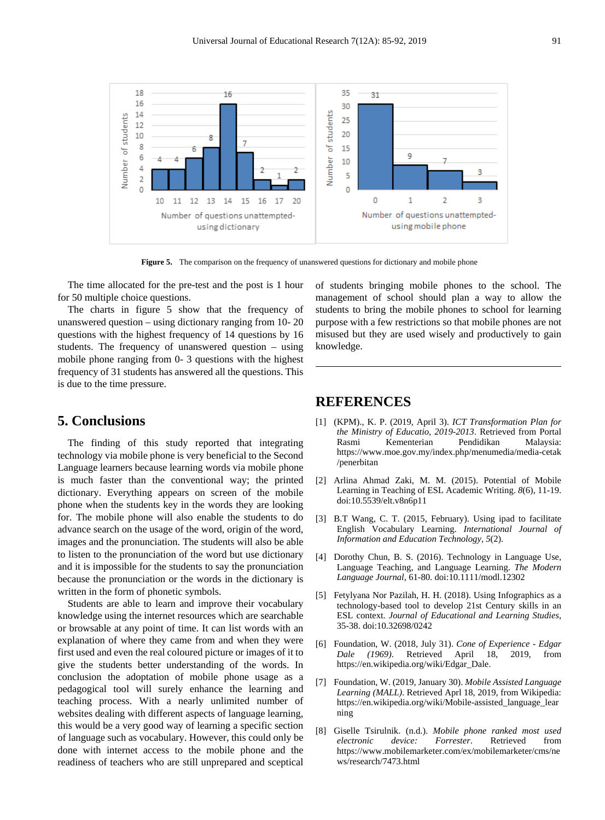

Figure 5. The comparison on the frequency of unanswered questions for dictionary and mobile phone

The time allocated for the pre-test and the post is 1 hour for 50 multiple choice questions.

The charts in figure 5 show that the frequency of unanswered question – using dictionary ranging from 10- 20 questions with the highest frequency of 14 questions by 16 students. The frequency of unanswered question – using mobile phone ranging from 0- 3 questions with the highest frequency of 31 students has answered all the questions. This is due to the time pressure.

# **5. Conclusions**

The finding of this study reported that integrating technology via mobile phone is very beneficial to the Second Language learners because learning words via mobile phone is much faster than the conventional way; the printed dictionary. Everything appears on screen of the mobile phone when the students key in the words they are looking for. The mobile phone will also enable the students to do advance search on the usage of the word, origin of the word, images and the pronunciation. The students will also be able to listen to the pronunciation of the word but use dictionary and it is impossible for the students to say the pronunciation because the pronunciation or the words in the dictionary is written in the form of phonetic symbols.

Students are able to learn and improve their vocabulary knowledge using the internet resources which are searchable or browsable at any point of time. It can list words with an explanation of where they came from and when they were first used and even the real coloured picture or images of it to give the students better understanding of the words. In conclusion the adoptation of mobile phone usage as a pedagogical tool will surely enhance the learning and teaching process. With a nearly unlimited number of websites dealing with different aspects of language learning, this would be a very good way of learning a specific section of language such as vocabulary. However, this could only be done with internet access to the mobile phone and the readiness of teachers who are still unprepared and sceptical

of students bringing mobile phones to the school. The management of school should plan a way to allow the students to bring the mobile phones to school for learning purpose with a few restrictions so that mobile phones are not misused but they are used wisely and productively to gain knowledge.

# **REFERENCES**

- [1] (KPM)., K. P. (2019, April 3). *ICT Transformation Plan for the Ministry of Educatio, 2019-2013*. Retrieved from Portal Kementerian https://www.moe.gov.my/index.php/menumedia/media-cetak /penerbitan
- [2] Arlina Ahmad Zaki, M. M. (2015). Potential of Mobile Learning in Teaching of ESL Academic Writing. *8*(6), 11-19. doi:10.5539/elt.v8n6p11
- [3] B.T Wang, C. T. (2015, February). Using ipad to facilitate English Vocabulary Learning. *International Journal of Information and Education Technology, 5*(2).
- [4] Dorothy Chun, B. S. (2016). Technology in Language Use, Language Teaching, and Language Learning. *The Modern Language Journal*, 61-80. doi:10.1111/modl.12302
- [5] Fetylyana Nor Pazilah, H. H. (2018). Using Infographics as a technology-based tool to develop 21st Century skills in an ESL context. *Journal of Educational and Learning Studies*, 35-38. doi:10.32698/0242
- [6] Foundation, W. (2018, July 31). *Cone of Experience - Edgar Dale (1969)*. Retrieved April 18, 2019, from https://en.wikipedia.org/wiki/Edgar\_Dale.
- [7] Foundation, W. (2019, January 30). *Mobile Assisted Language Learning (MALL)*. Retrieved Aprl 18, 2019, from Wikipedia: https://en.wikipedia.org/wiki/Mobile-assisted\_language\_lear ning
- [8] Giselle Tsirulnik. (n.d.). *Mobile phone ranked most used electronic device: Forrester*. Retrieved from https://www.mobilemarketer.com/ex/mobilemarketer/cms/ne ws/research/7473.html